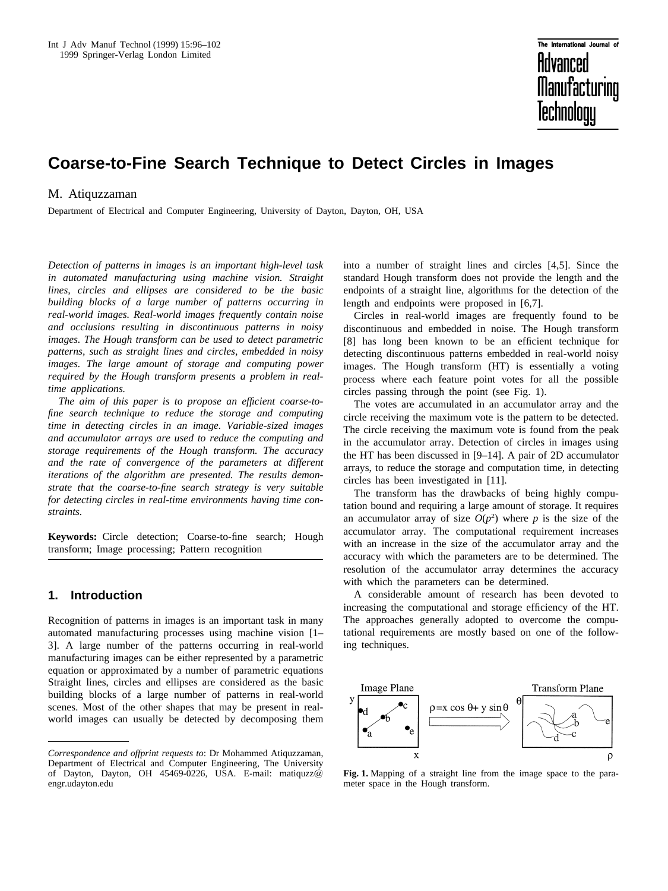The International Journal of **Advanced** Manufacturing Technology

# **Coarse-to-Fine Search Technique to Detect Circles in Images**

### M. Atiquzzaman

Department of Electrical and Computer Engineering, University of Dayton, Dayton, OH, USA

*Detection of patterns in images is an important high-level task in automated manufacturing using machine vision. Straight lines, circles and ellipses are considered to be the basic building blocks of a large number of patterns occurring in real-world images. Real-world images frequently contain noise and occlusions resulting in discontinuous patterns in noisy images. The Hough transform can be used to detect parametric patterns, such as straight lines and circles, embedded in noisy images. The large amount of storage and computing power required by the Hough transform presents a problem in realtime applications.*

*The aim of this paper is to propose an efficient coarse-tofine search technique to reduce the storage and computing time in detecting circles in an image. Variable-sized images and accumulator arrays are used to reduce the computing and storage requirements of the Hough transform. The accuracy and the rate of convergence of the parameters at different iterations of the algorithm are presented. The results demonstrate that the coarse-to-fine search strategy is very suitable for detecting circles in real-time environments having time constraints.*

**Keywords:** Circle detection; Coarse-to-fine search; Hough transform; Image processing; Pattern recognition

## **1. Introduction**

Recognition of patterns in images is an important task in many automated manufacturing processes using machine vision [1– 3]. A large number of the patterns occurring in real-world manufacturing images can be either represented by a parametric equation or approximated by a number of parametric equations Straight lines, circles and ellipses are considered as the basic building blocks of a large number of patterns in real-world scenes. Most of the other shapes that may be present in realworld images can usually be detected by decomposing them into a number of straight lines and circles [4,5]. Since the standard Hough transform does not provide the length and the endpoints of a straight line, algorithms for the detection of the length and endpoints were proposed in [6,7].

Circles in real-world images are frequently found to be discontinuous and embedded in noise. The Hough transform [8] has long been known to be an efficient technique for detecting discontinuous patterns embedded in real-world noisy images. The Hough transform (HT) is essentially a voting process where each feature point votes for all the possible circles passing through the point (see Fig. 1).

The votes are accumulated in an accumulator array and the circle receiving the maximum vote is the pattern to be detected. The circle receiving the maximum vote is found from the peak in the accumulator array. Detection of circles in images using the HT has been discussed in [9–14]. A pair of 2D accumulator arrays, to reduce the storage and computation time, in detecting circles has been investigated in [11].

The transform has the drawbacks of being highly computation bound and requiring a large amount of storage. It requires an accumulator array of size  $O(p^2)$  where p is the size of the accumulator array. The computational requirement increases with an increase in the size of the accumulator array and the accuracy with which the parameters are to be determined. The resolution of the accumulator array determines the accuracy with which the parameters can be determined.

A considerable amount of research has been devoted to increasing the computational and storage efficiency of the HT. The approaches generally adopted to overcome the computational requirements are mostly based on one of the following techniques.



**Fig. 1.** Mapping of a straight line from the image space to the parameter space in the Hough transform.

*Correspondence and offprint requests to*: Dr Mohammed Atiquzzaman, Department of Electrical and Computer Engineering, The University of Dayton, Dayton, OH 45469-0226, USA. E-mail: matiquzz@ engr.udayton.edu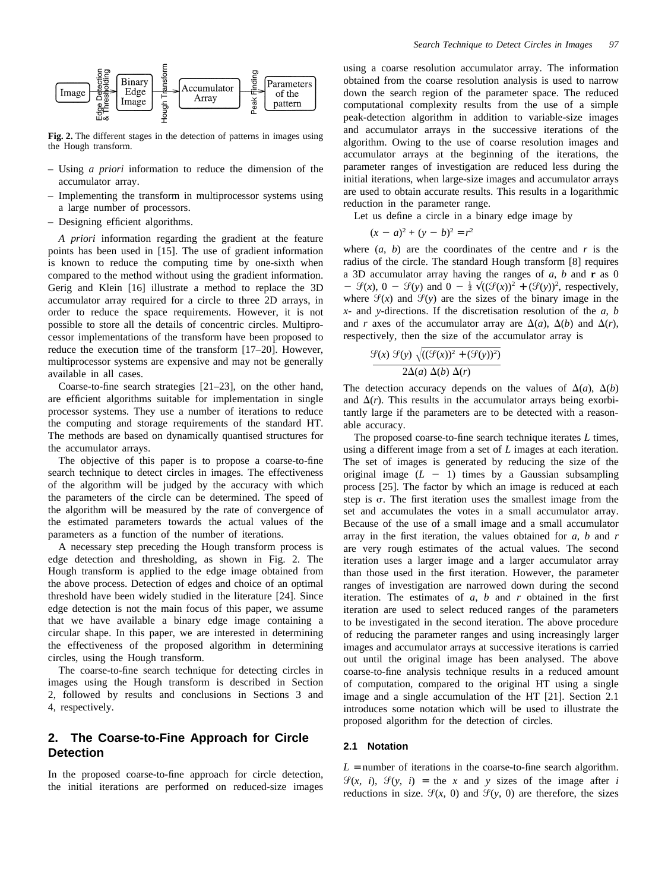

**Fig. 2.** The different stages in the detection of patterns in images using the Hough transform.

- Using *a priori* information to reduce the dimension of the accumulator array.
- Implementing the transform in multiprocessor systems using a large number of processors.
- Designing efficient algorithms.

*A priori* information regarding the gradient at the feature points has been used in [15]. The use of gradient information is known to reduce the computing time by one-sixth when compared to the method without using the gradient information. Gerig and Klein [16] illustrate a method to replace the 3D accumulator array required for a circle to three 2D arrays, in order to reduce the space requirements. However, it is not possible to store all the details of concentric circles. Multiprocessor implementations of the transform have been proposed to reduce the execution time of the transform [17–20]. However, multiprocessor systems are expensive and may not be generally available in all cases.

Coarse-to-fine search strategies [21–23], on the other hand, are efficient algorithms suitable for implementation in single processor systems. They use a number of iterations to reduce the computing and storage requirements of the standard HT. The methods are based on dynamically quantised structures for the accumulator arrays.

The objective of this paper is to propose a coarse-to-fine search technique to detect circles in images. The effectiveness of the algorithm will be judged by the accuracy with which the parameters of the circle can be determined. The speed of the algorithm will be measured by the rate of convergence of the estimated parameters towards the actual values of the parameters as a function of the number of iterations.

A necessary step preceding the Hough transform process is edge detection and thresholding, as shown in Fig. 2. The Hough transform is applied to the edge image obtained from the above process. Detection of edges and choice of an optimal threshold have been widely studied in the literature [24]. Since edge detection is not the main focus of this paper, we assume that we have available a binary edge image containing a circular shape. In this paper, we are interested in determining the effectiveness of the proposed algorithm in determining circles, using the Hough transform.

The coarse-to-fine search technique for detecting circles in images using the Hough transform is described in Section 2, followed by results and conclusions in Sections 3 and 4, respectively.

## **2. The Coarse-to-Fine Approach for Circle Detection**

In the proposed coarse-to-fine approach for circle detection, the initial iterations are performed on reduced-size images using a coarse resolution accumulator array. The information obtained from the coarse resolution analysis is used to narrow down the search region of the parameter space. The reduced computational complexity results from the use of a simple peak-detection algorithm in addition to variable-size images and accumulator arrays in the successive iterations of the algorithm. Owing to the use of coarse resolution images and accumulator arrays at the beginning of the iterations, the parameter ranges of investigation are reduced less during the initial iterations, when large-size images and accumulator arrays are used to obtain accurate results. This results in a logarithmic reduction in the parameter range.

Let us define a circle in a binary edge image by

$$
(x - a)^2 + (y - b)^2 = r^2
$$

where  $(a, b)$  are the coordinates of the centre and  $r$  is the radius of the circle. The standard Hough transform [8] requires a 3D accumulator array having the ranges of *a*, *b* and **r** as 0  $\mathcal{L}(x)$ ,  $0 - \mathcal{L}(y)$  and  $0 - \frac{1}{2} \sqrt{((\mathcal{L}(x))^2 + (\mathcal{L}(y))^2)}$ , respectively, where  $\mathcal{G}(x)$  and  $\mathcal{G}(y)$  are the sizes of the binary image in the *x*- and *y*-directions. If the discretisation resolution of the *a*, *b* and *r* axes of the accumulator array are  $\Delta(a)$ ,  $\Delta(b)$  and  $\Delta(r)$ , respectively, then the size of the accumulator array is

$$
\frac{\mathcal{G}(x) \mathcal{G}(y) \sqrt{((\mathcal{G}(x))^2 + (\mathcal{G}(y))^2)}}{2\Delta(a) \Delta(b) \Delta(r)}
$$

The detection accuracy depends on the values of  $\Delta(a)$ ,  $\Delta(b)$ and  $\Delta(r)$ . This results in the accumulator arrays being exorbitantly large if the parameters are to be detected with a reasonable accuracy.

The proposed coarse-to-fine search technique iterates *L* times, using a different image from a set of *L* images at each iteration. The set of images is generated by reducing the size of the original image  $(L - 1)$  times by a Gaussian subsampling process [25]. The factor by which an image is reduced at each step is  $\sigma$ . The first iteration uses the smallest image from the set and accumulates the votes in a small accumulator array. Because of the use of a small image and a small accumulator array in the first iteration, the values obtained for *a*, *b* and *r* are very rough estimates of the actual values. The second iteration uses a larger image and a larger accumulator array than those used in the first iteration. However, the parameter ranges of investigation are narrowed down during the second iteration. The estimates of *a*, *b* and *r* obtained in the first iteration are used to select reduced ranges of the parameters to be investigated in the second iteration. The above procedure of reducing the parameter ranges and using increasingly larger images and accumulator arrays at successive iterations is carried out until the original image has been analysed. The above coarse-to-fine analysis technique results in a reduced amount of computation, compared to the original HT using a single image and a single accumulation of the HT [21]. Section 2.1 introduces some notation which will be used to illustrate the proposed algorithm for the detection of circles.

#### **2.1 Notation**

 $L =$  number of iterations in the coarse-to-fine search algorithm.  $\mathcal{F}(x, i)$ ,  $\mathcal{F}(y, i) =$  the *x* and *y* sizes of the image after *i* reductions in size.  $\mathcal{G}(x, 0)$  and  $\mathcal{G}(y, 0)$  are therefore, the sizes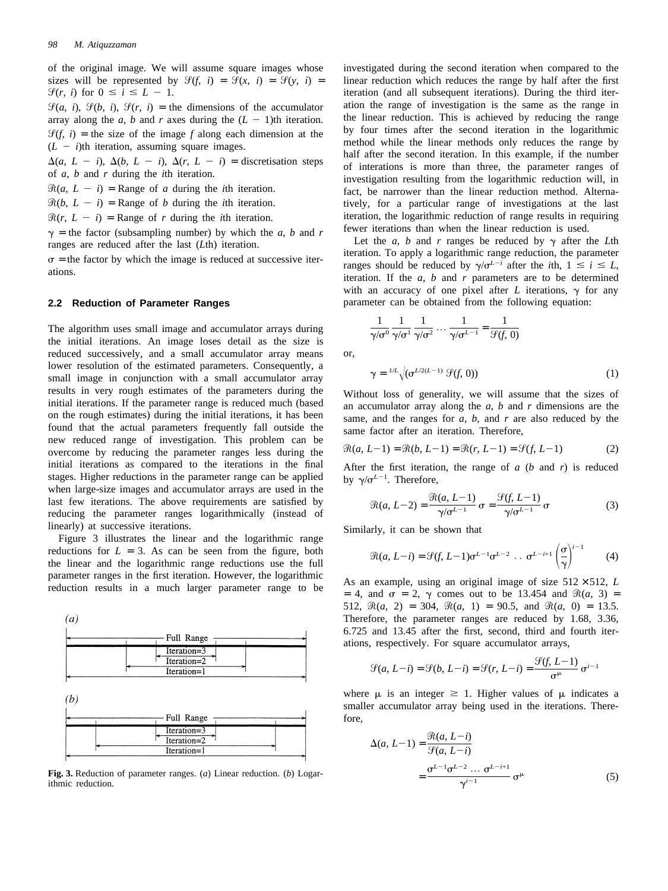of the original image. We will assume square images whose sizes will be represented by  $\mathcal{G}(f, i) = \mathcal{G}(x, i) = \mathcal{G}(y, i) =$  $\mathcal{G}(r, i)$  for  $0 \leq i \leq L - 1$ .

 $\mathcal{G}(a, i)$ ,  $\mathcal{G}(b, i)$ ,  $\mathcal{G}(r, i)$  = the dimensions of the accumulator array along the *a*, *b* and *r* axes during the  $(L - 1)$ th iteration.  $\mathcal{G}(f, i)$  = the size of the image *f* along each dimension at the  $(L - i)$ th iteration, assuming square images.

 $\Delta(a, L - i)$ ,  $\Delta(b, L - i)$ ,  $\Delta(r, L - i)$  = discretisation steps of *a*, *b* and *r* during the *i*th iteration.

 $\Re(a, L - i)$  = Range of *a* during the *i*th iteration.

 $\mathcal{R}(b, L - i) =$  Range of *b* during the *i*th iteration.

 $\mathcal{R}(r, L - i) =$  Range of *r* during the *i*th iteration.

 $\gamma$  = the factor (subsampling number) by which the *a*, *b* and *r* ranges are reduced after the last (*L*th) iteration.

 $\sigma$  = the factor by which the image is reduced at successive iterations.

### **2.2 Reduction of Parameter Ranges**

The algorithm uses small image and accumulator arrays during the initial iterations. An image loses detail as the size is reduced successively, and a small accumulator array means lower resolution of the estimated parameters. Consequently, a small image in conjunction with a small accumulator array results in very rough estimates of the parameters during the initial iterations. If the parameter range is reduced much (based on the rough estimates) during the initial iterations, it has been found that the actual parameters frequently fall outside the new reduced range of investigation. This problem can be overcome by reducing the parameter ranges less during the initial iterations as compared to the iterations in the final stages. Higher reductions in the parameter range can be applied when large-size images and accumulator arrays are used in the last few iterations. The above requirements are satisfied by reducing the parameter ranges logarithmically (instead of linearly) at successive iterations.

Figure 3 illustrates the linear and the logarithmic range reductions for  $L = 3$ . As can be seen from the figure, both the linear and the logarithmic range reductions use the full parameter ranges in the first iteration. However, the logarithmic reduction results in a much larger parameter range to be



**Fig. 3.** Reduction of parameter ranges. (*a*) Linear reduction. (*b*) Logarithmic reduction.

investigated during the second iteration when compared to the linear reduction which reduces the range by half after the first iteration (and all subsequent iterations). During the third iteration the range of investigation is the same as the range in the linear reduction. This is achieved by reducing the range by four times after the second iteration in the logarithmic method while the linear methods only reduces the range by half after the second iteration. In this example, if the number of interations is more than three, the parameter ranges of investigation resulting from the logarithmic reduction will, in fact, be narrower than the linear reduction method. Alternatively, for a particular range of investigations at the last iteration, the logarithmic reduction of range results in requiring fewer iterations than when the linear reduction is used.

Let the *a*, *b* and *r* ranges be reduced by  $\gamma$  after the *L*th iteration. To apply a logarithmic range reduction, the parameter ranges should be reduced by  $\gamma/\sigma^{L-i}$  after the *i*th,  $1 \le i \le L$ , iteration. If the *a*, *b* and *r* parameters are to be determined with an accuracy of one pixel after *L* iterations,  $\gamma$  for any parameter can be obtained from the following equation:

$$
\frac{1}{\gamma/\sigma^0} \frac{1}{\gamma/\sigma^1} \frac{1}{\gamma/\sigma^2} \dots \frac{1}{\gamma/\sigma^{L-1}} = \frac{1}{\mathcal{G}(f, 0)}
$$

or,

$$
\gamma = {}^{1/L}\sqrt{\left(\sigma^{L/2(L-1)}\mathcal{G}(f,0)\right)}\tag{1}
$$

Without loss of generality, we will assume that the sizes of an accumulator array along the *a*, *b* and *r* dimensions are the same, and the ranges for *a*, *b*, and *r* are also reduced by the same factor after an iteration. Therefore,

$$
\mathcal{R}(a, L-1) = \mathcal{R}(b, L-1) = \mathcal{R}(r, L-1) = \mathcal{G}(f, L-1)
$$
 (2)

After the first iteration, the range of *a* (*b* and *r*) is reduced by  $\gamma/\sigma^{L-1}$ . Therefore,

$$
\mathcal{R}(a, L-2) = \frac{\mathcal{R}(a, L-1)}{\gamma/\sigma^{L-1}} \sigma = \frac{\mathcal{G}(f, L-1)}{\gamma/\sigma^{L-1}} \sigma \tag{3}
$$

Similarly, it can be shown that

$$
\mathcal{R}(a, L-i) = \mathcal{G}(f, L-1)\sigma^{L-1}\sigma^{L-2} \cdot \sigma^{L-i+1}\left(\frac{\sigma}{\gamma}\right)^{i-1} \tag{4}
$$

As an example, using an original image of size  $512 \times 512$ , *L*  $= 4$ , and  $\sigma = 2$ ,  $\gamma$  comes out to be 13.454 and  $\Re(a, 3) =$ 512,  $\Re(a, 2) = 304$ ,  $\Re(a, 1) = 90.5$ , and  $\Re(a, 0) = 13.5$ . Therefore, the parameter ranges are reduced by 1.68, 3.36, 6.725 and 13.45 after the first, second, third and fourth iterations, respectively. For square accumulator arrays,

$$
\mathcal{G}(a, L-i) = \mathcal{G}(b, L-i) = \mathcal{G}(r, L-i) = \frac{\mathcal{G}(f, L-1)}{\sigma^{\mu}} \sigma^{i-1}
$$

where  $\mu$  is an integer  $\geq 1$ . Higher values of  $\mu$  indicates a smaller accumulator array being used in the iterations. Therefore,

$$
\Delta(a, L-1) = \frac{\Re(a, L-i)}{\mathcal{G}(a, L-i)} \n= \frac{\sigma^{L-1}\sigma^{L-2} \cdots \sigma^{L-i+1}}{\gamma^{i-1}} \sigma^{\mu}
$$
\n(5)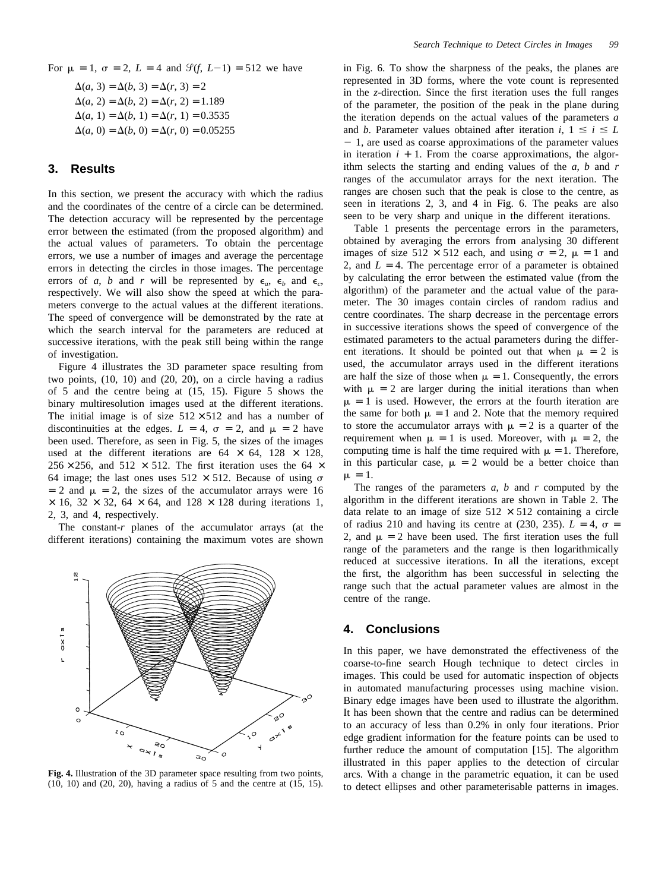For 
$$
\mu = 1
$$
,  $\sigma = 2$ ,  $L = 4$  and  $\mathcal{G}(f, L-1) = 512$  we have  
\n $\Delta(a, 3) = \Delta(b, 3) = \Delta(r, 3) = 2$   
\n $\Delta(a, 2) = \Delta(b, 2) = \Delta(r, 2) = 1.189$   
\n $\Delta(a, 1) = \Delta(b, 1) = \Delta(r, 1) = 0.3535$   
\n $\Delta(a, 0) = \Delta(b, 0) = \Delta(r, 0) = 0.05255$ 

## **3. Results**

In this section, we present the accuracy with which the radius and the coordinates of the centre of a circle can be determined. The detection accuracy will be represented by the percentage error between the estimated (from the proposed algorithm) and the actual values of parameters. To obtain the percentage errors, we use a number of images and average the percentage errors in detecting the circles in those images. The percentage errors of *a*, *b* and *r* will be represented by  $\epsilon_a$ ,  $\epsilon_b$  and  $\epsilon_c$ , respectively. We will also show the speed at which the parameters converge to the actual values at the different iterations. The speed of convergence will be demonstrated by the rate at which the search interval for the parameters are reduced at successive iterations, with the peak still being within the range of investigation.

Figure 4 illustrates the 3D parameter space resulting from two points, (10, 10) and (20, 20), on a circle having a radius of 5 and the centre being at (15, 15). Figure 5 shows the binary multiresolution images used at the different iterations. The initial image is of size  $512 \times 512$  and has a number of discontinuities at the edges.  $L = 4$ ,  $\sigma = 2$ , and  $\mu = 2$  have been used. Therefore, as seen in Fig. 5, the sizes of the images used at the different iterations are  $64 \times 64$ ,  $128 \times 128$ ,  $256 \times 256$ , and  $512 \times 512$ . The first iteration uses the 64  $\times$ 64 image; the last ones uses  $512 \times 512$ . Because of using  $\sigma$  $= 2$  and  $\mu = 2$ , the sizes of the accumulator arrays were 16  $\times$  16, 32  $\times$  32, 64  $\times$  64, and 128  $\times$  128 during iterations 1, 2, 3, and 4, respectively.

The constant-*r* planes of the accumulator arrays (at the different iterations) containing the maximum votes are shown



**Fig. 4.** Illustration of the 3D parameter space resulting from two points, (10, 10) and (20, 20), having a radius of 5 and the centre at (15, 15).

in Fig. 6. To show the sharpness of the peaks, the planes are represented in 3D forms, where the vote count is represented in the *z*-direction. Since the first iteration uses the full ranges of the parameter, the position of the peak in the plane during the iteration depends on the actual values of the parameters *a* and *b*. Parameter values obtained after iteration *i*,  $1 \le i \le L$  $-1$ , are used as coarse approximations of the parameter values in iteration  $i + 1$ . From the coarse approximations, the algorithm selects the starting and ending values of the *a*, *b* and *r* ranges of the accumulator arrays for the next iteration. The ranges are chosen such that the peak is close to the centre, as seen in iterations 2, 3, and 4 in Fig. 6. The peaks are also seen to be very sharp and unique in the different iterations.

Table 1 presents the percentage errors in the parameters, obtained by averaging the errors from analysing 30 different images of size  $512 \times 512$  each, and using  $\sigma = 2$ ,  $\mu = 1$  and 2, and  $L = 4$ . The percentage error of a parameter is obtained by calculating the error between the estimated value (from the algorithm) of the parameter and the actual value of the parameter. The 30 images contain circles of random radius and centre coordinates. The sharp decrease in the percentage errors in successive iterations shows the speed of convergence of the estimated parameters to the actual parameters during the different iterations. It should be pointed out that when  $\mu = 2$  is used, the accumulator arrays used in the different iterations are half the size of those when  $\mu = 1$ . Consequently, the errors with  $\mu = 2$  are larger during the initial iterations than when  $\mu$  = 1 is used. However, the errors at the fourth iteration are the same for both  $\mu = 1$  and 2. Note that the memory required to store the accumulator arrays with  $\mu = 2$  is a quarter of the requirement when  $\mu = 1$  is used. Moreover, with  $\mu = 2$ , the computing time is half the time required with  $\mu = 1$ . Therefore, in this particular case,  $\mu = 2$  would be a better choice than  $\mu = 1$ .

The ranges of the parameters *a*, *b* and *r* computed by the algorithm in the different iterations are shown in Table 2. The data relate to an image of size  $512 \times 512$  containing a circle of radius 210 and having its centre at (230, 235).  $L = 4$ ,  $\sigma =$ 2, and  $\mu = 2$  have been used. The first iteration uses the full range of the parameters and the range is then logarithmically reduced at successive iterations. In all the iterations, except the first, the algorithm has been successful in selecting the range such that the actual parameter values are almost in the centre of the range.

## **4. Conclusions**

In this paper, we have demonstrated the effectiveness of the coarse-to-fine search Hough technique to detect circles in images. This could be used for automatic inspection of objects in automated manufacturing processes using machine vision. Binary edge images have been used to illustrate the algorithm. It has been shown that the centre and radius can be determined to an accuracy of less than 0.2% in only four iterations. Prior edge gradient information for the feature points can be used to further reduce the amount of computation [15]. The algorithm illustrated in this paper applies to the detection of circular arcs. With a change in the parametric equation, it can be used to detect ellipses and other parameterisable patterns in images.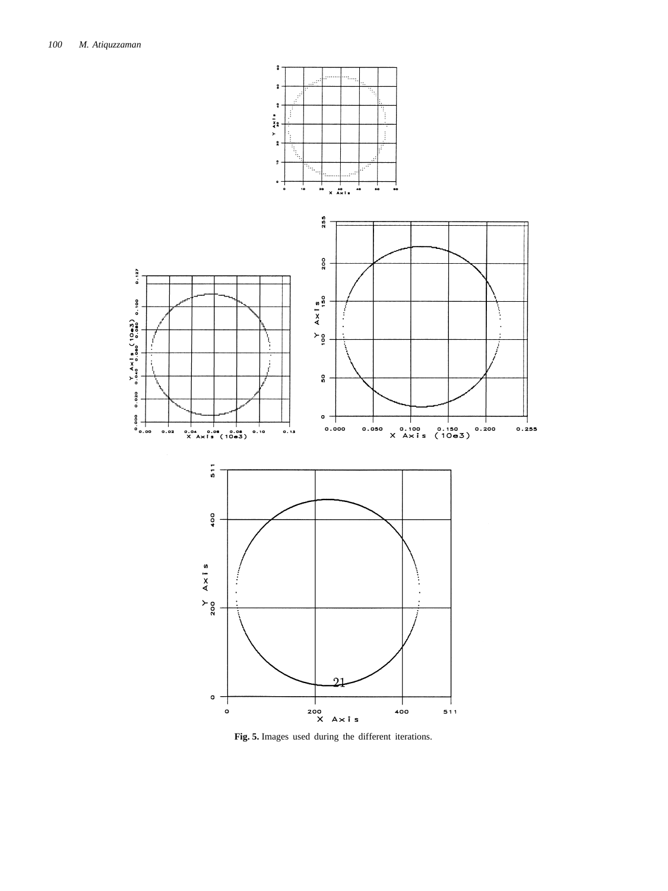

**Fig. 5.** Images used during the different iterations.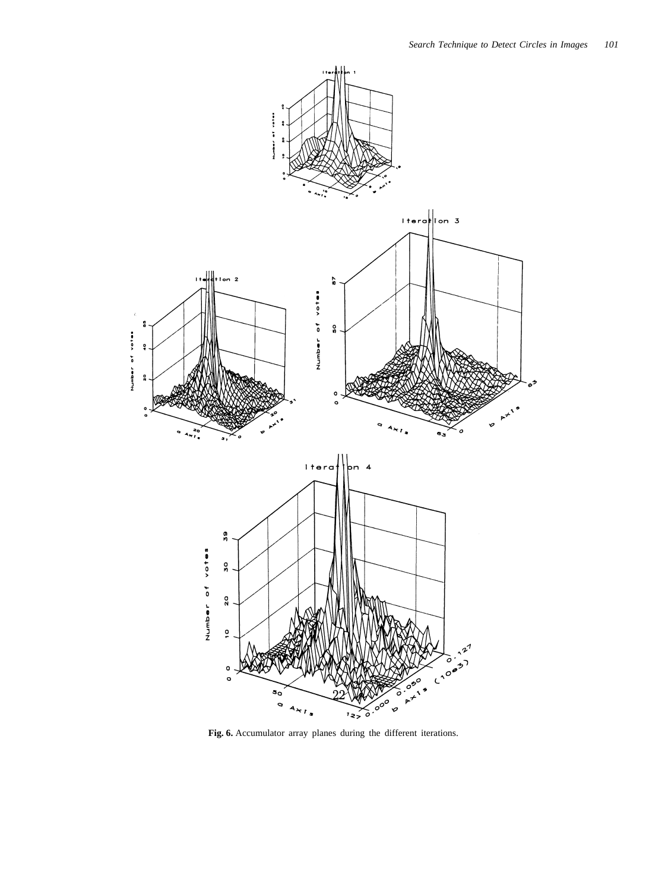

**Fig. 6.** Accumulator array planes during the different iterations.